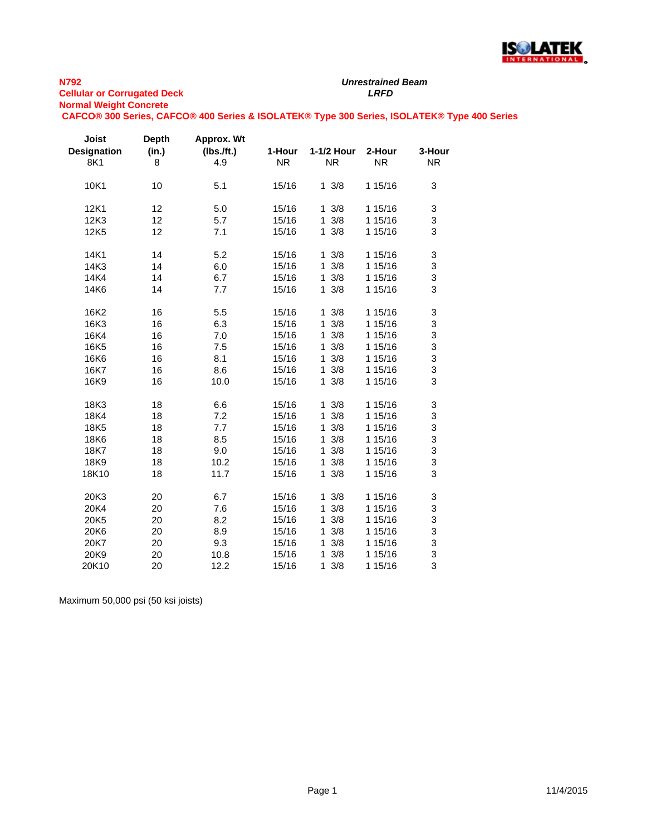

# *Unrestrained Beam*

**CAFCO® 300 Series, CAFCO® 400 Series & ISOLATEK® Type 300 Series, ISOLATEK® Type 400 Series**

| Joist<br><b>Designation</b><br>8K1 | <b>Depth</b><br>(in.)<br>8 | Approx. Wt<br>$(lbs.$ /ft.)<br>4.9 | 1-Hour<br><b>NR</b> | 1-1/2 Hour<br><b>NR</b> | 2-Hour<br><b>NR</b> | 3-Hour<br><b>NR</b> |
|------------------------------------|----------------------------|------------------------------------|---------------------|-------------------------|---------------------|---------------------|
| 10K1                               | 10                         | 5.1                                | 15/16               | $1 \frac{3}{8}$         | 1 15/16             | 3                   |
| 12K1                               | 12                         | 5.0                                | 15/16               | 3/8<br>$\mathbf{1}$     | 1 15/16             | 3                   |
| 12K3                               | 12                         | 5.7                                | 15/16               | 3/8<br>$\mathbf{1}$     | 1 15/16             | 3                   |
| 12K5                               | 12                         | 7.1                                | 15/16               | $1 \frac{3}{8}$         | 1 15/16             | 3                   |
| 14K1                               | 14                         | 5.2                                | 15/16               | $1 \frac{3}{8}$         | 1 15/16             | 3                   |
| 14K3                               | 14                         | 6.0                                | 15/16               | 3/8<br>$\mathbf{1}$     | 1 15/16             | 3                   |
| 14K4                               | 14                         | 6.7                                | 15/16               | 3/8<br>$\mathbf{1}$     | 1 15/16             | 3                   |
| 14K6                               | 14                         | 7.7                                | 15/16               | $1 \frac{3}{8}$         | 1 15/16             | 3                   |
| 16K2                               | 16                         | 5.5                                | 15/16               | $1 \frac{3}{8}$         | 1 15/16             | 3                   |
| 16K3                               | 16                         | 6.3                                | 15/16               | 3/8<br>$\mathbf{1}$     | 1 15/16             | 3                   |
| 16K4                               | 16                         | 7.0                                | 15/16               | 3/8<br>1                | 1 15/16             | 3                   |
| 16K5                               | 16                         | 7.5                                | 15/16               | 3/8<br>$\mathbf{1}$     | 1 15/16             | 3                   |
| 16K6                               | 16                         | 8.1                                | 15/16               | 3/8<br>1                | 1 15/16             | 3                   |
| 16K7                               | 16                         | 8.6                                | 15/16               | 3/8<br>$\mathbf{1}$     | 1 15/16             | 3                   |
| 16K9                               | 16                         | 10.0                               | 15/16               | 3/8<br>$\mathbf{1}$     | 1 15/16             | 3                   |
| 18K3                               | 18                         | 6.6                                | 15/16               | $1 \frac{3}{8}$         | 1 15/16             | 3                   |
| 18K4                               | 18                         | 7.2                                | 15/16               | 3/8<br>1                | 1 15/16             | 3                   |
| 18K5                               | 18                         | 7.7                                | 15/16               | 3/8<br>$\mathbf{1}$     | 1 15/16             | 3                   |
| 18K6                               | 18                         | 8.5                                | 15/16               | 3/8<br>1                | 1 15/16             | 3                   |
| 18K7                               | 18                         | 9.0                                | 15/16               | 3/8<br>1                | 1 15/16             | 3                   |
| 18K9                               | 18                         | 10.2                               | 15/16               | 3/8<br>1                | 1 15/16             | 3                   |
| 18K10                              | 18                         | 11.7                               | 15/16               | 3/8<br>$\mathbf{1}$     | 1 15/16             | 3                   |
| 20K3                               | 20                         | 6.7                                | 15/16               | 3/8<br>1                | 1 15/16             | 3                   |
| 20K4                               | 20                         | 7.6                                | 15/16               | 3/8<br>1                | 1 15/16             | 3                   |
| 20K5                               | 20                         | 8.2                                | 15/16               | 3/8<br>1                | 1 15/16             | 3                   |
| 20K6                               | 20                         | 8.9                                | 15/16               | 3/8<br>$\mathbf{1}$     | 1 15/16             | 3                   |
| 20K7                               | 20                         | 9.3                                | 15/16               | 3/8<br>1                | 1 15/16             | 3                   |
| 20K9                               | 20                         | 10.8                               | 15/16               | 3/8<br>1                | 1 15/16             | 3                   |
| 20K10                              | 20                         | 12.2                               | 15/16               | $\mathbf{1}$<br>3/8     | 1 15/16             | 3                   |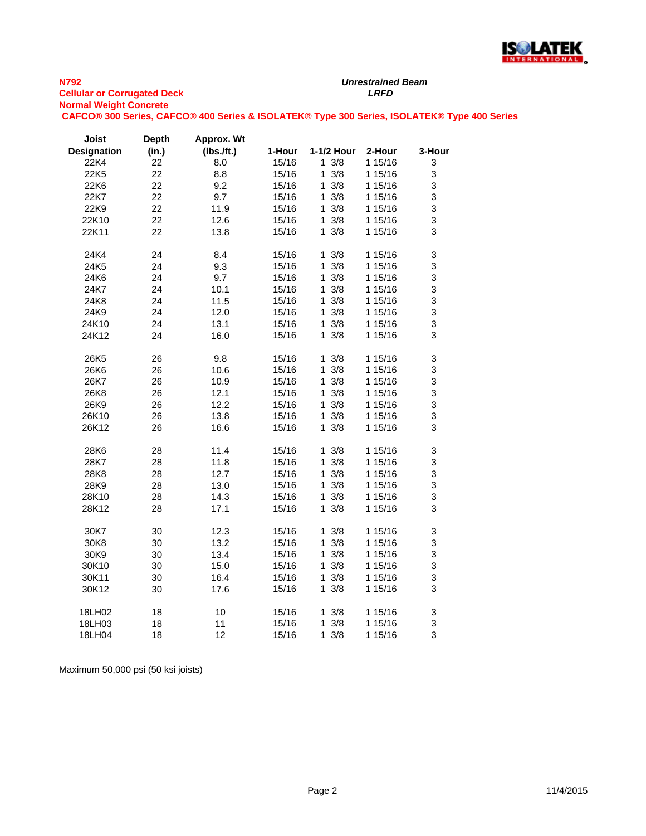

**CAFCO® 300 Series, CAFCO® 400 Series & ISOLATEK® Type 300 Series, ISOLATEK® Type 400 Series**

| Joist              | <b>Depth</b> | Approx. Wt |        |                     |         |        |
|--------------------|--------------|------------|--------|---------------------|---------|--------|
| <b>Designation</b> | (in.)        | (Ibs.ft.)  | 1-Hour | 1-1/2 Hour          | 2-Hour  | 3-Hour |
| 22K4               | 22           | 8.0        | 15/16  | $1 \frac{3}{8}$     | 1 15/16 | 3      |
| 22K5               | 22           | 8.8        | 15/16  | $1 \frac{3}{8}$     | 1 15/16 | 3      |
| 22K6               | 22           | 9.2        | 15/16  | $1 \frac{3}{8}$     | 1 15/16 | 3      |
| 22K7               | 22           | 9.7        | 15/16  | $1 \t3/8$           | 1 15/16 | 3      |
| 22K9               | 22           | 11.9       | 15/16  | 3/8<br>$\mathbf{1}$ | 1 15/16 | 3      |
| 22K10              | 22           | 12.6       | 15/16  | $1 \frac{3}{8}$     | 1 15/16 | 3      |
| 22K11              | 22           | 13.8       | 15/16  | $1 \frac{3}{8}$     | 1 15/16 | 3      |
| 24K4               | 24           | 8.4        | 15/16  | $1 \frac{3}{8}$     | 1 15/16 | 3      |
| 24K5               | 24           | 9.3        | 15/16  | $1 \frac{3}{8}$     | 1 15/16 | 3      |
| 24K6               | 24           | 9.7        | 15/16  | $1 \frac{3}{8}$     | 1 15/16 | 3      |
| 24K7               | 24           | 10.1       | 15/16  | $\mathbf{1}$<br>3/8 | 1 15/16 | 3      |
| 24K8               | 24           | 11.5       | 15/16  | 3/8<br>1            | 1 15/16 | 3      |
| 24K9               | 24           | 12.0       | 15/16  | 3/8<br>1.           | 1 15/16 | 3      |
| 24K10              | 24           | 13.1       | 15/16  | $\mathbf{1}$<br>3/8 | 1 15/16 | 3      |
| 24K12              | 24           | 16.0       | 15/16  | $1 \frac{3}{8}$     | 1 15/16 | 3      |
| 26K5               | 26           | 9.8        | 15/16  | 3/8<br>1            | 1 15/16 | 3      |
| 26K6               | 26           | 10.6       | 15/16  | 3/8<br>$\mathbf{1}$ | 1 15/16 | 3      |
| 26K7               | 26           | 10.9       | 15/16  | 3/8<br>1            | 1 15/16 | 3      |
| 26K8               | 26           | 12.1       | 15/16  | 3/8<br>1            | 1 15/16 | 3      |
| 26K9               | 26           | 12.2       | 15/16  | 3/8<br>1            | 1 15/16 | 3      |
| 26K10              | 26           | 13.8       | 15/16  | $1 \t3/8$           | 1 15/16 | 3      |
| 26K12              | 26           | 16.6       | 15/16  | $1 \frac{3}{8}$     | 1 15/16 | 3      |
| 28K6               | 28           | 11.4       | 15/16  | 3/8<br>1            | 1 15/16 | 3      |
| 28K7               | 28           | 11.8       | 15/16  | $1 \t3/8$           | 1 15/16 | 3      |
| 28K8               | 28           | 12.7       | 15/16  | 3/8<br>$\mathbf 1$  | 1 15/16 | 3      |
| 28K9               | 28           | 13.0       | 15/16  | 1<br>3/8            | 1 15/16 | 3      |
| 28K10              | 28           | 14.3       | 15/16  | $1 \frac{3}{8}$     | 1 15/16 | 3      |
| 28K12              | 28           | 17.1       | 15/16  | $1 \frac{3}{8}$     | 1 15/16 | 3      |
| 30K7               | 30           | 12.3       | 15/16  | 3/8<br>1            | 1 15/16 | 3      |
| 30K8               | 30           | 13.2       | 15/16  | $\mathbf{1}$<br>3/8 | 1 15/16 | 3      |
| 30K9               | 30           | 13.4       | 15/16  | 1<br>3/8            | 1 15/16 | 3      |
| 30K10              | 30           | 15.0       | 15/16  | 3/8<br>1            | 1 15/16 | 3      |
| 30K11              | 30           | 16.4       | 15/16  | 3/8<br>$\mathbf{1}$ | 1 15/16 | 3      |
| 30K12              | 30           | 17.6       | 15/16  | $1 \frac{3}{8}$     | 1 15/16 | 3      |
| 18LH02             | 18           | 10         | 15/16  | 3/8<br>1            | 1 15/16 | 3      |
| 18LH03             | 18           | 11         | 15/16  | 1<br>$3/8$          | 1 15/16 | 3      |
| 18LH04             | 18           | 12         | 15/16  | 3/8<br>1.           | 1 15/16 | 3      |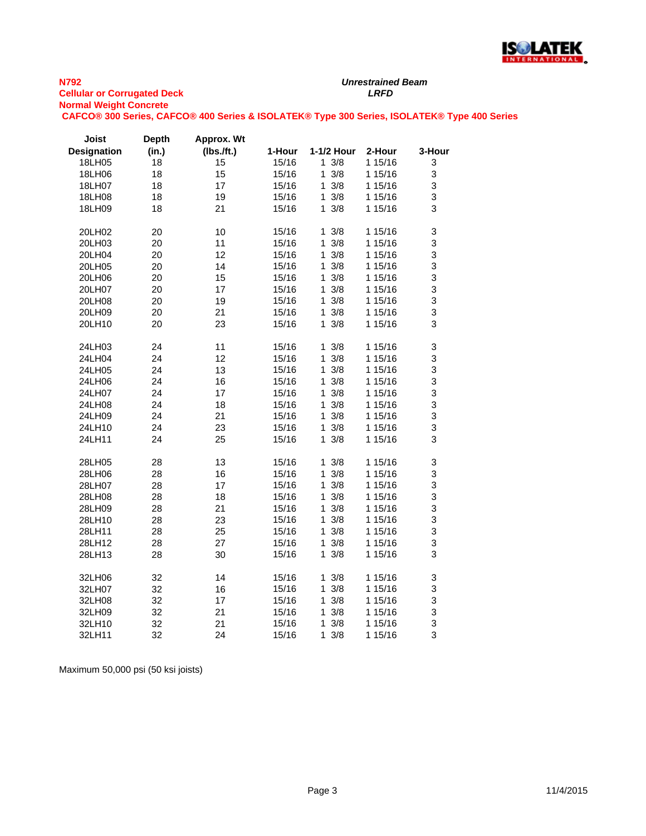

*Unrestrained Beam*

**CAFCO® 300 Series, CAFCO® 400 Series & ISOLATEK® Type 300 Series, ISOLATEK® Type 400 Series**

| <b>Joist</b>       | <b>Depth</b> | Approx. Wt    |        |                     |         |             |
|--------------------|--------------|---------------|--------|---------------------|---------|-------------|
| <b>Designation</b> | (in.)        | $(Ibs.$ /ft.) | 1-Hour | 1-1/2 Hour          | 2-Hour  | 3-Hour      |
| 18LH05             | 18           | 15            | 15/16  | $1 \frac{3}{8}$     | 1 15/16 | 3           |
| 18LH06             | 18           | 15            | 15/16  | 3/8<br>1            | 1 15/16 | 3           |
| 18LH07             | 18           | 17            | 15/16  | 3/8<br>1            | 1 15/16 | 3           |
| 18LH08             | 18           | 19            | 15/16  | 1<br>3/8            | 1 15/16 | 3           |
| 18LH09             | 18           | 21            | 15/16  | $1 \frac{3}{8}$     | 1 15/16 | 3           |
|                    |              |               |        |                     |         |             |
| 20LH02             | 20           | 10            | 15/16  | 3/8<br>1            | 1 15/16 | 3           |
| 20LH03             | 20           | 11            | 15/16  | 1<br>3/8            | 1 15/16 | 3           |
| 20LH04             | 20           | 12            | 15/16  | $3/8$<br>1          | 1 15/16 | 3           |
| 20LH05             | 20           | 14            | 15/16  | $1 \frac{3}{8}$     | 1 15/16 | 3           |
| 20LH06             | 20           | 15            | 15/16  | 3/8<br>1            | 1 15/16 | 3           |
| 20LH07             | 20           | 17            | 15/16  | 3/8<br>1            | 1 15/16 | 3           |
| 20LH08             | 20           | 19            | 15/16  | 3/8<br>1            | 1 15/16 | 3           |
| 20LH09             | 20           | 21            | 15/16  | 3/8<br>1            | 1 15/16 | 3           |
| 20LH10             | 20           | 23            | 15/16  | 3/8<br>1            | 1 15/16 | 3           |
|                    |              |               |        |                     |         |             |
| 24LH03             | 24           | 11            | 15/16  | $1 \frac{3}{8}$     | 1 15/16 | 3           |
| 24LH04             | 24           | 12            | 15/16  | 3/8<br>1            | 1 15/16 | 3           |
| 24LH05             | 24           | 13            | 15/16  | 3/8<br>1            | 1 15/16 | 3           |
| 24LH06             | 24           | 16            | 15/16  | 3/8<br>1            | 1 15/16 | 3           |
| 24LH07             | 24           | 17            | 15/16  | 1<br>3/8            | 1 15/16 | 3           |
| 24LH08             | 24           | 18            | 15/16  | 3/8<br>1            | 1 15/16 | $\mathsf 3$ |
| 24LH09             | 24           | 21            | 15/16  | 1<br>3/8            | 1 15/16 | 3           |
| 24LH10             | 24           | 23            | 15/16  | $\mathbf{1}$<br>3/8 | 1 15/16 | 3           |
| 24LH11             | 24           | 25            | 15/16  | 1<br>3/8            | 1 15/16 | 3           |
|                    |              |               |        |                     |         |             |
| 28LH05             | 28           | 13            | 15/16  | $1 \frac{3}{8}$     | 1 15/16 | 3           |
| 28LH06             | 28           | 16            | 15/16  | 3/8<br>1            | 1 15/16 | 3           |
| 28LH07             | 28           | 17            | 15/16  | 1<br>3/8            | 1 15/16 | 3           |
| 28LH08             | 28           | 18            | 15/16  | 1<br>3/8            | 1 15/16 | 3           |
| 28LH09             | 28           | 21            | 15/16  | 3/8<br>1            | 1 15/16 | 3           |
| 28LH10             | 28           | 23            | 15/16  | 1<br>3/8            | 1 15/16 | 3           |
| 28LH11             | 28           | 25            | 15/16  | 3/8<br>1            | 1 15/16 | 3           |
| 28LH12             | 28           | 27            | 15/16  | 3/8<br>1            | 1 15/16 | 3           |
| 28LH13             | 28           | 30            | 15/16  | 3/8<br>1            | 1 15/16 | 3           |
|                    |              |               |        |                     |         |             |
| 32LH06             | 32           | 14            | 15/16  | 3/8<br>1            | 1 15/16 | 3           |
| 32LH07             | 32           | 16            | 15/16  | 3/8<br>1            | 1 15/16 | 3           |
| 32LH08             | 32           | 17            | 15/16  | 3/8<br>1            | 1 15/16 | 3           |
| 32LH09             | 32           | 21            | 15/16  | 1<br>3/8            | 1 15/16 | 3           |
| 32LH10             | 32           | 21            | 15/16  | 1<br>3/8            | 1 15/16 | 3           |
| 32LH11             | 32           | 24            | 15/16  | 1<br>3/8            | 1 15/16 | 3           |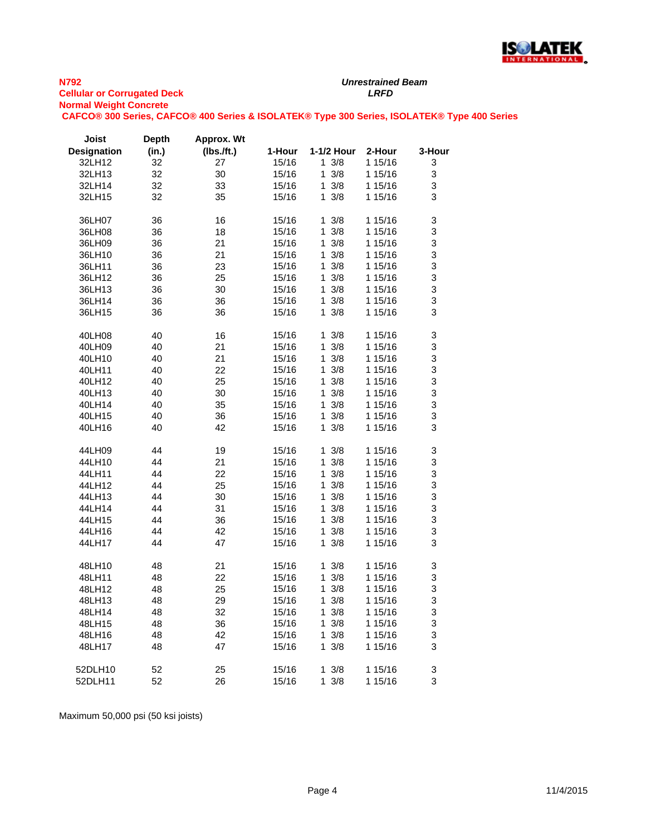

*Unrestrained Beam*

**CAFCO® 300 Series, CAFCO® 400 Series & ISOLATEK® Type 300 Series, ISOLATEK® Type 400 Series**

| Joist              | <b>Depth</b> | Approx. Wt    |        |                     |         |        |
|--------------------|--------------|---------------|--------|---------------------|---------|--------|
| <b>Designation</b> | (in.)        | $(Ibs.$ /ft.) | 1-Hour | 1-1/2 Hour          | 2-Hour  | 3-Hour |
| 32LH12             | 32           | 27            | 15/16  | $1 \frac{3}{8}$     | 1 15/16 | 3      |
| 32LH13             | 32           | 30            | 15/16  | $1 \frac{3}{8}$     | 1 15/16 | 3      |
| 32LH14             | 32           | 33            | 15/16  | 1.<br>3/8           | 1 15/16 | 3      |
| 32LH15             | 32           | 35            | 15/16  | $1 \frac{3}{8}$     | 1 15/16 | 3      |
|                    |              |               |        |                     |         |        |
| 36LH07             | 36           | 16            | 15/16  | $1 \frac{3}{8}$     | 1 15/16 | 3      |
| 36LH08             | 36           | 18            | 15/16  | 1<br>3/8            | 1 15/16 | 3      |
| 36LH09             | 36           | 21            | 15/16  | 3/8<br>$\mathbf{1}$ | 1 15/16 | 3      |
| 36LH10             | 36           | 21            | 15/16  | $\mathbf 1$<br>3/8  | 1 15/16 | 3      |
| 36LH11             | 36           | 23            | 15/16  | 3/8<br>1            | 1 15/16 | 3      |
| 36LH12             | 36           | 25            | 15/16  | $1 \frac{3}{8}$     | 1 15/16 | 3      |
| 36LH13             | 36           | 30            | 15/16  | 1<br>3/8            | 1 15/16 | 3      |
| 36LH14             | 36           | 36            | 15/16  | $1 \frac{3}{8}$     | 1 15/16 | 3      |
|                    |              |               |        | 3/8                 |         | 3      |
| 36LH15             | 36           | 36            | 15/16  | 1.                  | 1 15/16 |        |
| 40LH08             | 40           | 16            | 15/16  | 1<br>3/8            | 1 15/16 | 3      |
| 40LH09             | 40           | 21            | 15/16  | 1<br>3/8            | 1 15/16 | 3      |
| 40LH10             | 40           | 21            | 15/16  | 3/8<br>1            | 1 15/16 | 3      |
| 40LH11             | 40           | 22            | 15/16  | 3/8<br>1            | 1 15/16 | 3      |
| 40LH12             | 40           | 25            | 15/16  | $1 \frac{3}{8}$     | 1 15/16 | 3      |
| 40LH13             | 40           | 30            | 15/16  | 3/8<br>1            | 1 15/16 | 3      |
| 40LH14             | 40           | 35            | 15/16  | $1 \t3/8$           | 1 15/16 | 3      |
| 40LH15             | 40           | 36            | 15/16  | 3/8<br>1            | 1 15/16 | 3      |
| 40LH16             | 40           | 42            | 15/16  | $1 \frac{3}{8}$     | 1 15/16 | 3      |
|                    |              |               |        |                     |         |        |
| 44LH09             | 44           | 19            | 15/16  | 3/8<br>1            | 1 15/16 | 3      |
| 44LH10             | 44           | 21            | 15/16  | $\mathbf{1}$<br>3/8 | 1 15/16 | 3      |
| 44LH11             | 44           | 22            | 15/16  | 1<br>3/8            | 1 15/16 | 3      |
| 44LH12             | 44           | 25            | 15/16  | $1 \frac{3}{8}$     | 1 15/16 | 3      |
| 44LH13             | 44           | 30            | 15/16  | 3/8<br>1            | 1 15/16 | 3      |
| 44LH14             | 44           | 31            | 15/16  | 3/8<br>1            | 1 15/16 | 3      |
| 44LH15             | 44           | 36            | 15/16  | 3/8<br>1            | 1 15/16 | 3      |
| 44LH16             | 44           | 42            | 15/16  | 3/8<br>$\mathbf{1}$ | 1 15/16 | 3      |
| 44LH17             | 44           | 47            | 15/16  | $1 \frac{3}{8}$     | 1 15/16 | 3      |
|                    |              |               |        |                     |         |        |
| 48LH10             | 48           | 21            | 15/16  | $1 \frac{3}{8}$     | 1 15/16 | 3      |
| 48LH11             | 48           | 22            | 15/16  | 1<br>3/8            | 1 15/16 | 3      |
| 48LH12             | 48           | 25            | 15/16  | 1<br>3/8            | 1 15/16 | 3      |
| 48LH13             | 48           | 29            | 15/16  | 3/8<br>1            | 1 15/16 | 3      |
| 48LH14             | 48           | 32            | 15/16  | 3/8<br>1            | 1 15/16 | 3      |
| 48LH15             | 48           | 36            | 15/16  | 3/8<br>1            | 1 15/16 | 3      |
| 48LH16             | 48           | 42            | 15/16  | 1<br>3/8            | 1 15/16 | 3      |
| 48LH17             | 48           | 47            | 15/16  | $1 \frac{3}{8}$     | 1 15/16 | 3      |
|                    |              |               |        |                     |         |        |
| 52DLH10            | 52           | 25            | 15/16  | $1 \frac{3}{8}$     | 1 15/16 | 3      |
| 52DLH11            | 52           | 26            | 15/16  | $1 \frac{3}{8}$     | 1 15/16 | 3      |
|                    |              |               |        |                     |         |        |